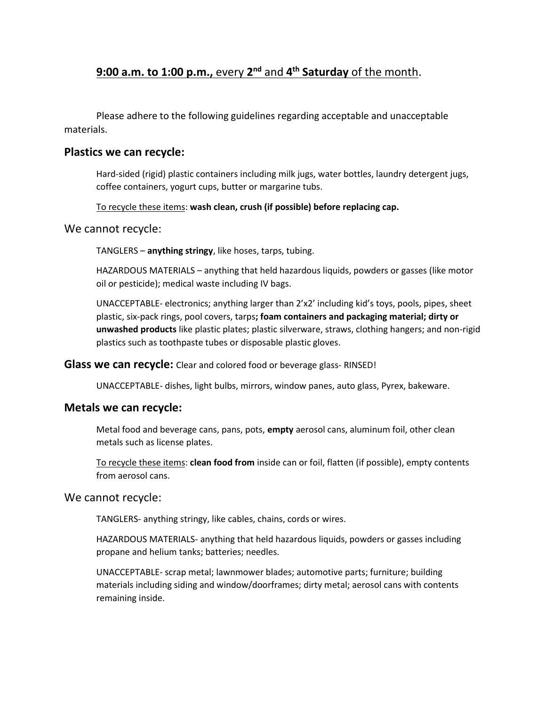# **9:00 a.m. to 1:00 p.m.,** every **2 nd** and **4 th Saturday** of the month.

Please adhere to the following guidelines regarding acceptable and unacceptable materials.

### **Plastics we can recycle:**

Hard-sided (rigid) plastic containers including milk jugs, water bottles, laundry detergent jugs, coffee containers, yogurt cups, butter or margarine tubs.

To recycle these items: **wash clean, crush (if possible) before replacing cap.**

### We cannot recycle:

TANGLERS – **anything stringy**, like hoses, tarps, tubing.

HAZARDOUS MATERIALS – anything that held hazardous liquids, powders or gasses (like motor oil or pesticide); medical waste including IV bags.

UNACCEPTABLE- electronics; anything larger than 2'x2' including kid's toys, pools, pipes, sheet plastic, six-pack rings, pool covers, tarps**; foam containers and packaging material; dirty or unwashed products** like plastic plates; plastic silverware, straws, clothing hangers; and non-rigid plastics such as toothpaste tubes or disposable plastic gloves.

#### **Glass we can recycle:** Clear and colored food or beverage glass- RINSED!

UNACCEPTABLE- dishes, light bulbs, mirrors, window panes, auto glass, Pyrex, bakeware.

### **Metals we can recycle:**

Metal food and beverage cans, pans, pots, **empty** aerosol cans, aluminum foil, other clean metals such as license plates.

To recycle these items: **clean food from** inside can or foil, flatten (if possible), empty contents from aerosol cans.

### We cannot recycle:

TANGLERS- anything stringy, like cables, chains, cords or wires.

HAZARDOUS MATERIALS- anything that held hazardous liquids, powders or gasses including propane and helium tanks; batteries; needles.

UNACCEPTABLE- scrap metal; lawnmower blades; automotive parts; furniture; building materials including siding and window/doorframes; dirty metal; aerosol cans with contents remaining inside.